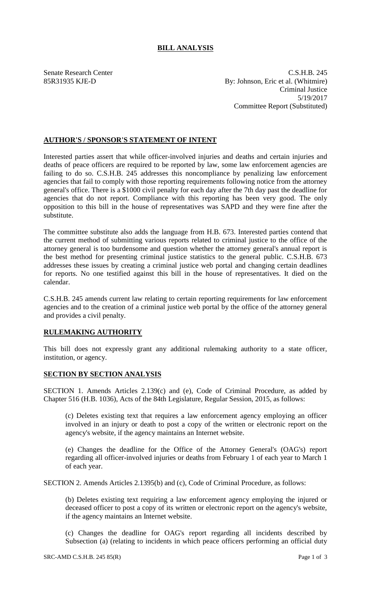## **BILL ANALYSIS**

Senate Research Center C.S.H.B. 245 85R31935 KJE-D By: Johnson, Eric et al. (Whitmire) Criminal Justice 5/19/2017 Committee Report (Substituted)

## **AUTHOR'S / SPONSOR'S STATEMENT OF INTENT**

Interested parties assert that while officer-involved injuries and deaths and certain injuries and deaths of peace officers are required to be reported by law, some law enforcement agencies are failing to do so. C.S.H.B. 245 addresses this noncompliance by penalizing law enforcement agencies that fail to comply with those reporting requirements following notice from the attorney general's office. There is a \$1000 civil penalty for each day after the 7th day past the deadline for agencies that do not report. Compliance with this reporting has been very good. The only opposition to this bill in the house of representatives was SAPD and they were fine after the substitute.

The committee substitute also adds the language from H.B. 673. Interested parties contend that the current method of submitting various reports related to criminal justice to the office of the attorney general is too burdensome and question whether the attorney general's annual report is the best method for presenting criminal justice statistics to the general public. C.S.H.B. 673 addresses these issues by creating a criminal justice web portal and changing certain deadlines for reports. No one testified against this bill in the house of representatives. It died on the calendar.

C.S.H.B. 245 amends current law relating to certain reporting requirements for law enforcement agencies and to the creation of a criminal justice web portal by the office of the attorney general and provides a civil penalty.

## **RULEMAKING AUTHORITY**

This bill does not expressly grant any additional rulemaking authority to a state officer, institution, or agency.

## **SECTION BY SECTION ANALYSIS**

SECTION 1. Amends Articles 2.139(c) and (e), Code of Criminal Procedure, as added by Chapter 516 (H.B. 1036), Acts of the 84th Legislature, Regular Session, 2015, as follows:

(c) Deletes existing text that requires a law enforcement agency employing an officer involved in an injury or death to post a copy of the written or electronic report on the agency's website, if the agency maintains an Internet website.

(e) Changes the deadline for the Office of the Attorney General's (OAG's) report regarding all officer-involved injuries or deaths from February 1 of each year to March 1 of each year.

SECTION 2. Amends Articles 2.1395(b) and (c), Code of Criminal Procedure, as follows:

(b) Deletes existing text requiring a law enforcement agency employing the injured or deceased officer to post a copy of its written or electronic report on the agency's website, if the agency maintains an Internet website.

(c) Changes the deadline for OAG's report regarding all incidents described by Subsection (a) (relating to incidents in which peace officers performing an official duty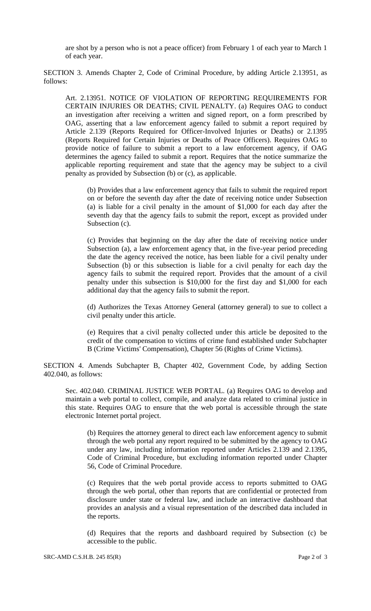are shot by a person who is not a peace officer) from February 1 of each year to March 1 of each year.

SECTION 3. Amends Chapter 2, Code of Criminal Procedure, by adding Article 2.13951, as follows:

Art. 2.13951. NOTICE OF VIOLATION OF REPORTING REQUIREMENTS FOR CERTAIN INJURIES OR DEATHS; CIVIL PENALTY. (a) Requires OAG to conduct an investigation after receiving a written and signed report, on a form prescribed by OAG, asserting that a law enforcement agency failed to submit a report required by Article 2.139 (Reports Required for Officer-Involved Injuries or Deaths) or 2.1395 (Reports Required for Certain Injuries or Deaths of Peace Officers). Requires OAG to provide notice of failure to submit a report to a law enforcement agency, if OAG determines the agency failed to submit a report. Requires that the notice summarize the applicable reporting requirement and state that the agency may be subject to a civil penalty as provided by Subsection (b) or (c), as applicable.

(b) Provides that a law enforcement agency that fails to submit the required report on or before the seventh day after the date of receiving notice under Subsection (a) is liable for a civil penalty in the amount of \$1,000 for each day after the seventh day that the agency fails to submit the report, except as provided under Subsection (c).

(c) Provides that beginning on the day after the date of receiving notice under Subsection (a), a law enforcement agency that, in the five-year period preceding the date the agency received the notice, has been liable for a civil penalty under Subsection (b) or this subsection is liable for a civil penalty for each day the agency fails to submit the required report. Provides that the amount of a civil penalty under this subsection is \$10,000 for the first day and \$1,000 for each additional day that the agency fails to submit the report.

(d) Authorizes the Texas Attorney General (attorney general) to sue to collect a civil penalty under this article.

(e) Requires that a civil penalty collected under this article be deposited to the credit of the compensation to victims of crime fund established under Subchapter B (Crime Victims' Compensation), Chapter 56 (Rights of Crime Victims).

SECTION 4. Amends Subchapter B, Chapter 402, Government Code, by adding Section 402.040, as follows:

Sec. 402.040. CRIMINAL JUSTICE WEB PORTAL. (a) Requires OAG to develop and maintain a web portal to collect, compile, and analyze data related to criminal justice in this state. Requires OAG to ensure that the web portal is accessible through the state electronic Internet portal project.

(b) Requires the attorney general to direct each law enforcement agency to submit through the web portal any report required to be submitted by the agency to OAG under any law, including information reported under Articles 2.139 and 2.1395, Code of Criminal Procedure, but excluding information reported under Chapter 56, Code of Criminal Procedure.

(c) Requires that the web portal provide access to reports submitted to OAG through the web portal, other than reports that are confidential or protected from disclosure under state or federal law, and include an interactive dashboard that provides an analysis and a visual representation of the described data included in the reports.

(d) Requires that the reports and dashboard required by Subsection (c) be accessible to the public.